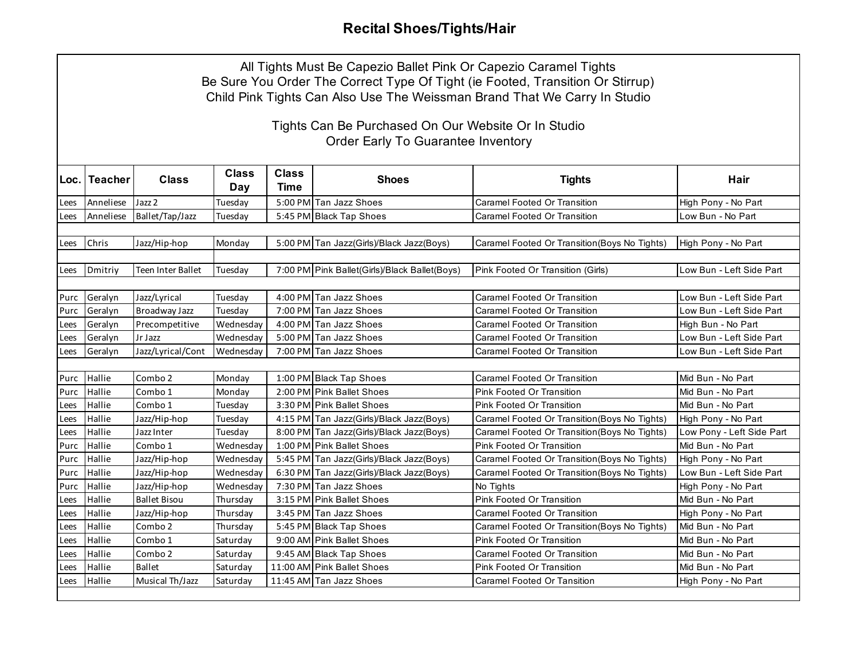## **Recital Shoes/Tights/Hair**

| All Tights Must Be Capezio Ballet Pink Or Capezio Caramel Tights<br>Be Sure You Order The Correct Type Of Tight (ie Footed, Transition Or Stirrup)<br>Child Pink Tights Can Also Use The Weissman Brand That We Carry In Studio |               |                          |              |                      |                                               |                                               |                           |  |
|---------------------------------------------------------------------------------------------------------------------------------------------------------------------------------------------------------------------------------|---------------|--------------------------|--------------|----------------------|-----------------------------------------------|-----------------------------------------------|---------------------------|--|
| Tights Can Be Purchased On Our Website Or In Studio<br><b>Order Early To Guarantee Inventory</b>                                                                                                                                |               |                          |              |                      |                                               |                                               |                           |  |
|                                                                                                                                                                                                                                 | Loc. Teacher  | <b>Class</b>             | Class<br>Day | <b>Class</b><br>Time | <b>Shoes</b>                                  | <b>Tights</b>                                 | Hair                      |  |
| Lees                                                                                                                                                                                                                            | Anneliese     | Jazz 2                   | Tuesday      |                      | 5:00 PM Tan Jazz Shoes                        | Caramel Footed Or Transition                  | High Pony - No Part       |  |
| Lees                                                                                                                                                                                                                            | Anneliese     | Ballet/Tap/Jazz          | Tuesday      |                      | 5:45 PM Black Tap Shoes                       | Caramel Footed Or Transition                  | Low Bun - No Part         |  |
|                                                                                                                                                                                                                                 |               |                          |              |                      |                                               |                                               |                           |  |
| Lees                                                                                                                                                                                                                            | Chris         | Jazz/Hip-hop             | Monday       |                      | 5:00 PM Tan Jazz(Girls)/Black Jazz(Boys)      | Caramel Footed Or Transition (Boys No Tights) | High Pony - No Part       |  |
|                                                                                                                                                                                                                                 |               |                          |              |                      |                                               |                                               |                           |  |
| Lees                                                                                                                                                                                                                            | Dmitriy       | <b>Teen Inter Ballet</b> | Tuesday      |                      | 7:00 PM Pink Ballet(Girls)/Black Ballet(Boys) | Pink Footed Or Transition (Girls)             | Low Bun - Left Side Part  |  |
|                                                                                                                                                                                                                                 |               |                          |              |                      |                                               |                                               |                           |  |
| Purc                                                                                                                                                                                                                            | Geralyn       | Jazz/Lyrical             | Tuesday      |                      | 4:00 PM Tan Jazz Shoes                        | Caramel Footed Or Transition                  | Low Bun - Left Side Part  |  |
| Purc                                                                                                                                                                                                                            | Geralyn       | Broadway Jazz            | Tuesday      |                      | 7:00 PM Tan Jazz Shoes                        | <b>Caramel Footed Or Transition</b>           | Low Bun - Left Side Part  |  |
| Lees                                                                                                                                                                                                                            | Geralyn       | Precompetitive           | Wednesday    |                      | 4:00 PM Tan Jazz Shoes                        | Caramel Footed Or Transition                  | High Bun - No Part        |  |
| Lees                                                                                                                                                                                                                            | Geralyn       | Jr Jazz                  | Wednesday    |                      | 5:00 PM Tan Jazz Shoes                        | Caramel Footed Or Transition                  | Low Bun - Left Side Part  |  |
| Lees                                                                                                                                                                                                                            | Geralyn       | Jazz/Lyrical/Cont        | Wednesday    |                      | 7:00 PM Tan Jazz Shoes                        | Caramel Footed Or Transition                  | Low Bun - Left Side Part  |  |
|                                                                                                                                                                                                                                 |               |                          |              |                      |                                               |                                               |                           |  |
| Purc                                                                                                                                                                                                                            | <b>Hallie</b> | Combo 2                  | Monday       |                      | 1:00 PM Black Tap Shoes                       | <b>Caramel Footed Or Transition</b>           | Mid Bun - No Part         |  |
| Purc                                                                                                                                                                                                                            | Hallie        | Combo 1                  | Monday       |                      | 2:00 PM Pink Ballet Shoes                     | Pink Footed Or Transition                     | Mid Bun - No Part         |  |
| Lees                                                                                                                                                                                                                            | Hallie        | Combo 1                  | Tuesday      |                      | 3:30 PM Pink Ballet Shoes                     | <b>Pink Footed Or Transition</b>              | Mid Bun - No Part         |  |
| Lees                                                                                                                                                                                                                            | Hallie        | Jazz/Hip-hop             | Tuesday      |                      | 4:15 PM Tan Jazz(Girls)/Black Jazz(Boys)      | Caramel Footed Or Transition (Boys No Tights) | High Pony - No Part       |  |
| Lees                                                                                                                                                                                                                            | Hallie        | Jazz Inter               | Tuesday      |                      | 8:00 PM Tan Jazz(Girls)/Black Jazz(Boys)      | Caramel Footed Or Transition (Boys No Tights) | Low Pony - Left Side Part |  |
| Purc                                                                                                                                                                                                                            | Hallie        | Combo 1                  | Wednesdav    |                      | 1:00 PM Pink Ballet Shoes                     | Pink Footed Or Transition                     | Mid Bun - No Part         |  |
| Purc                                                                                                                                                                                                                            | Hallie        | Jazz/Hip-hop             | Wednesdav    |                      | 5:45 PM Tan Jazz(Girls)/Black Jazz(Boys)      | Caramel Footed Or Transition (Boys No Tights) | High Pony - No Part       |  |
| Purc                                                                                                                                                                                                                            | Hallie        | Jazz/Hip-hop             | Wednesday    |                      | 6:30 PM Tan Jazz(Girls)/Black Jazz(Boys)      | Caramel Footed Or Transition (Boys No Tights) | Low Bun - Left Side Part  |  |
| Purc                                                                                                                                                                                                                            | Hallie        | Jazz/Hip-hop             | Wednesday    |                      | 7:30 PM Tan Jazz Shoes                        | No Tights                                     | High Pony - No Part       |  |
| Lees                                                                                                                                                                                                                            | Hallie        | <b>Ballet Bisou</b>      | Thursday     |                      | 3:15 PM Pink Ballet Shoes                     | <b>Pink Footed Or Transition</b>              | Mid Bun - No Part         |  |
| Lees                                                                                                                                                                                                                            | Hallie        | Jazz/Hip-hop             | Thursday     |                      | 3:45 PM Tan Jazz Shoes                        | <b>Caramel Footed Or Transition</b>           | High Pony - No Part       |  |
| Lees                                                                                                                                                                                                                            | Hallie        | Combo 2                  | Thursday     |                      | 5:45 PM Black Tap Shoes                       | Caramel Footed Or Transition (Boys No Tights) | Mid Bun - No Part         |  |
| Lees                                                                                                                                                                                                                            | Hallie        | Combo 1                  | Saturday     |                      | 9:00 AM Pink Ballet Shoes                     | Pink Footed Or Transition                     | Mid Bun - No Part         |  |
| Lees                                                                                                                                                                                                                            | Hallie        | Combo 2                  | Saturday     |                      | 9:45 AM Black Tap Shoes                       | <b>Caramel Footed Or Transition</b>           | Mid Bun - No Part         |  |
| Lees                                                                                                                                                                                                                            | Hallie        | <b>Ballet</b>            | Saturday     |                      | 11:00 AM Pink Ballet Shoes                    | Pink Footed Or Transition                     | Mid Bun - No Part         |  |
| Lees                                                                                                                                                                                                                            | Hallie        | Musical Th/Jazz          | Saturday     |                      | 11:45 AM Tan Jazz Shoes                       | <b>Caramel Footed Or Tansition</b>            | High Pony - No Part       |  |
|                                                                                                                                                                                                                                 |               |                          |              |                      |                                               |                                               |                           |  |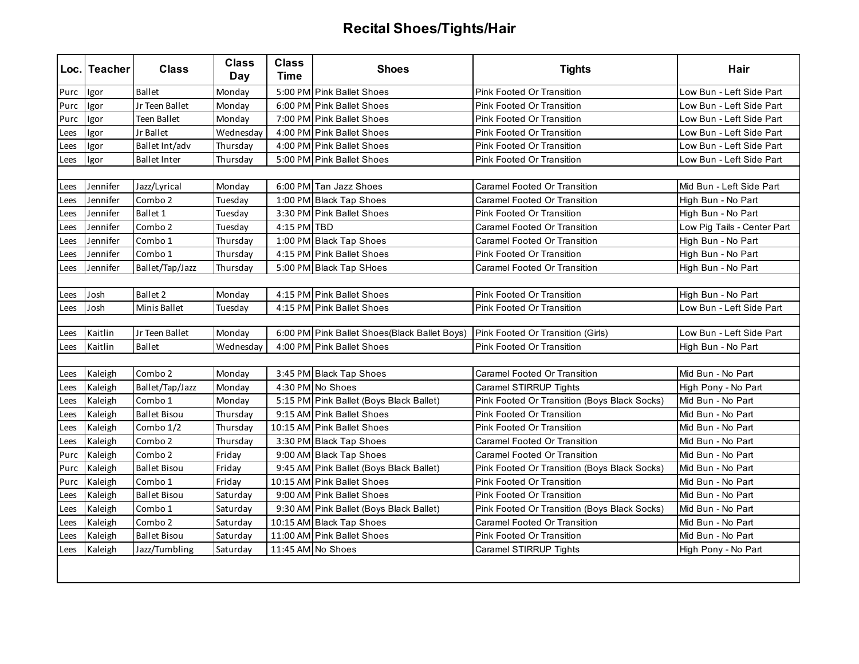## **Recital Shoes/Tights/Hair**

|      | Loc. Teacher | <b>Class</b>        | <b>Class</b><br>Day | <b>Class</b><br>Time | <b>Shoes</b>                                 | <b>Tights</b>                                | Hair                        |  |
|------|--------------|---------------------|---------------------|----------------------|----------------------------------------------|----------------------------------------------|-----------------------------|--|
| Purc | Igor         | <b>Ballet</b>       | Monday              |                      | 5:00 PM Pink Ballet Shoes                    | <b>Pink Footed Or Transition</b>             | Low Bun - Left Side Part    |  |
| Purc | Igor         | Jr Teen Ballet      | Monday              |                      | 6:00 PM Pink Ballet Shoes                    | Pink Footed Or Transition                    | Low Bun - Left Side Part    |  |
| Purc | Igor         | Teen Ballet         | Monday              |                      | 7:00 PM Pink Ballet Shoes                    | <b>Pink Footed Or Transition</b>             | Low Bun - Left Side Part    |  |
| Lees | Igor         | Jr Ballet           | Wednesday           |                      | 4:00 PM Pink Ballet Shoes                    | Pink Footed Or Transition                    | Low Bun - Left Side Part    |  |
| Lees | Igor         | Ballet Int/adv      | Thursday            |                      | 4:00 PM Pink Ballet Shoes                    | Pink Footed Or Transition                    | Low Bun - Left Side Part    |  |
| Lees | Igor         | <b>Ballet Inter</b> | Thursday            |                      | 5:00 PM Pink Ballet Shoes                    | Pink Footed Or Transition                    | Low Bun - Left Side Part    |  |
|      |              |                     |                     |                      |                                              |                                              |                             |  |
| Lees | Jennifer     | Jazz/Lyrical        | Monday              |                      | 6:00 PM Tan Jazz Shoes                       | Caramel Footed Or Transition                 | Mid Bun - Left Side Part    |  |
| Lees | Jennifer     | Combo <sub>2</sub>  | Tuesday             |                      | 1:00 PM Black Tap Shoes                      | Caramel Footed Or Transition                 | High Bun - No Part          |  |
| Lees | Jennifer     | Ballet 1            | Tuesday             |                      | 3:30 PM Pink Ballet Shoes                    | Pink Footed Or Transition                    | High Bun - No Part          |  |
| Lees | Jennifer     | Combo 2             | Tuesday             | 4:15 PM TBD          |                                              | <b>Caramel Footed Or Transition</b>          | Low Pig Tails - Center Part |  |
| Lees | Jennifer     | Combo 1             | Thursday            |                      | 1:00 PM Black Tap Shoes                      | Caramel Footed Or Transition                 | High Bun - No Part          |  |
| Lees | Jennifer     | Combo 1             | Thursdav            |                      | 4:15 PM Pink Ballet Shoes                    | Pink Footed Or Transition                    | High Bun - No Part          |  |
| Lees | Jennifer     | Ballet/Tap/Jazz     | Thursday            |                      | 5:00 PM Black Tap SHoes                      | Caramel Footed Or Transition                 | High Bun - No Part          |  |
|      |              |                     |                     |                      |                                              |                                              |                             |  |
| Lees | Josh         | Ballet 2            | Monday              |                      | 4:15 PM Pink Ballet Shoes                    | Pink Footed Or Transition                    | High Bun - No Part          |  |
| Lees | Josh         | Minis Ballet        | Tuesday             |                      | 4:15 PM Pink Ballet Shoes                    | Pink Footed Or Transition                    | Low Bun - Left Side Part    |  |
|      |              |                     |                     |                      |                                              |                                              |                             |  |
| Lees | Kaitlin      | Jr Teen Ballet      | Monday              |                      | 6:00 PM Pink Ballet Shoes(Black Ballet Boys) | Pink Footed Or Transition (Girls)            | Low Bun - Left Side Part    |  |
| Lees | Kaitlin      | <b>Ballet</b>       | Wednesday           |                      | 4:00 PM Pink Ballet Shoes                    | Pink Footed Or Transition                    | High Bun - No Part          |  |
|      |              |                     |                     |                      |                                              |                                              |                             |  |
| Lees | Kaleigh      | Combo 2             | Monday              |                      | 3:45 PM Black Tap Shoes                      | Caramel Footed Or Transition                 | Mid Bun - No Part           |  |
| Lees | Kaleigh      | Ballet/Tap/Jazz     | Monday              |                      | 4:30 PM No Shoes                             | Caramel STIRRUP Tights                       | High Pony - No Part         |  |
| Lees | Kaleigh      | Combo 1             | Monday              |                      | 5:15 PM Pink Ballet (Boys Black Ballet)      | Pink Footed Or Transition (Boys Black Socks) | Mid Bun - No Part           |  |
| Lees | Kaleigh      | <b>Ballet Bisou</b> | Thursday            |                      | 9:15 AM Pink Ballet Shoes                    | <b>Pink Footed Or Transition</b>             | Mid Bun - No Part           |  |
| Lees | Kaleigh      | Combo 1/2           | Thursday            |                      | 10:15 AM Pink Ballet Shoes                   | Pink Footed Or Transition                    | Mid Bun - No Part           |  |
| Lees | Kaleigh      | Combo 2             | Thursday            |                      | 3:30 PM Black Tap Shoes                      | Caramel Footed Or Transition                 | Mid Bun - No Part           |  |
| Purc | Kaleigh      | Combo 2             | Friday              |                      | 9:00 AM Black Tap Shoes                      | Caramel Footed Or Transition                 | Mid Bun - No Part           |  |
| Purc | Kaleigh      | <b>Ballet Bisou</b> | Friday              |                      | 9:45 AM Pink Ballet (Boys Black Ballet)      | Pink Footed Or Transition (Boys Black Socks) | Mid Bun - No Part           |  |
| Purc | Kaleigh      | Combo 1             | Friday              |                      | 10:15 AM Pink Ballet Shoes                   | Pink Footed Or Transition                    | Mid Bun - No Part           |  |
| Lees | Kaleigh      | <b>Ballet Bisou</b> | Saturdav            |                      | 9:00 AM Pink Ballet Shoes                    | Pink Footed Or Transition                    | Mid Bun - No Part           |  |
| Lees | Kaleigh      | Combo 1             | Saturday            |                      | 9:30 AM Pink Ballet (Boys Black Ballet)      | Pink Footed Or Transition (Boys Black Socks) | Mid Bun - No Part           |  |
| Lees | Kaleigh      | Combo 2             | Saturday            |                      | 10:15 AM Black Tap Shoes                     | Caramel Footed Or Transition                 | Mid Bun - No Part           |  |
| Lees | Kaleigh      | <b>Ballet Bisou</b> | Saturday            |                      | 11:00 AM Pink Ballet Shoes                   | Pink Footed Or Transition                    | Mid Bun - No Part           |  |
| Lees | Kaleigh      | Jazz/Tumbling       | Saturday            |                      | 11:45 AM No Shoes                            | Caramel STIRRUP Tights                       | High Pony - No Part         |  |
|      |              |                     |                     |                      |                                              |                                              |                             |  |